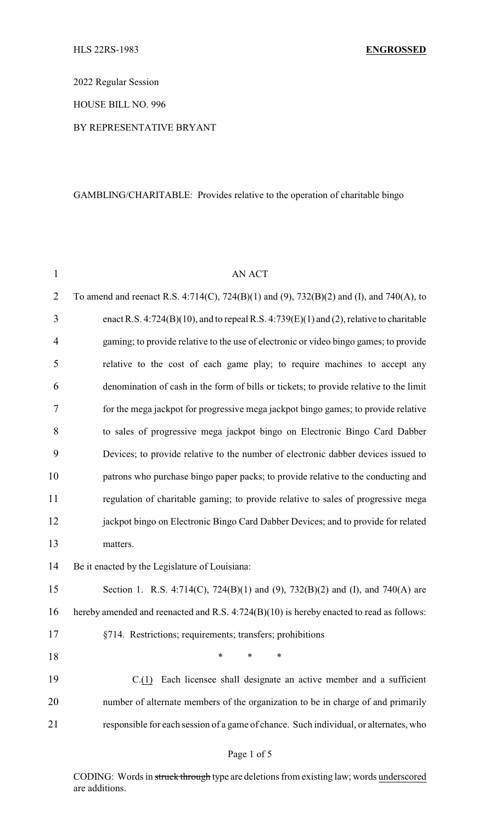2022 Regular Session

HOUSE BILL NO. 996

#### BY REPRESENTATIVE BRYANT

## GAMBLING/CHARITABLE: Provides relative to the operation of charitable bingo

| $\mathbf{1}$   | AN ACT                                                                                   |
|----------------|------------------------------------------------------------------------------------------|
| $\overline{2}$ | To amend and reenact R.S. 4:714(C), 724(B)(1) and (9), 732(B)(2) and (I), and 740(A), to |
| 3              | enact R.S. 4:724(B)(10), and to repeal R.S. 4:739(E)(1) and (2), relative to charitable  |
| $\overline{4}$ | gaming; to provide relative to the use of electronic or video bingo games; to provide    |
| 5              | relative to the cost of each game play; to require machines to accept any                |
| 6              | denomination of cash in the form of bills or tickets; to provide relative to the limit   |
| 7              | for the mega jackpot for progressive mega jackpot bingo games; to provide relative       |
| 8              | to sales of progressive mega jackpot bingo on Electronic Bingo Card Dabber               |
| 9              | Devices; to provide relative to the number of electronic dabber devices issued to        |
| 10             | patrons who purchase bingo paper packs; to provide relative to the conducting and        |
| 11             | regulation of charitable gaming; to provide relative to sales of progressive mega        |
| 12             | jackpot bingo on Electronic Bingo Card Dabber Devices; and to provide for related        |
| 13             | matters.                                                                                 |
| 14             | Be it enacted by the Legislature of Louisiana:                                           |
| 15             | Section 1. R.S. 4:714(C), 724(B)(1) and (9), 732(B)(2) and (I), and 740(A) are           |
| 16             | hereby amended and reenacted and R.S. 4:724(B)(10) is hereby enacted to read as follows: |
| 17             | §714. Restrictions; requirements; transfers; prohibitions                                |
| 18             | $\ast$<br>∗<br>*                                                                         |
| 19             | $C(1)$ Each licensee shall designate an active member and a sufficient                   |
| 20             | number of alternate members of the organization to be in charge of and primarily         |
| 21             | responsible for each session of a game of chance. Such individual, or alternates, who    |
|                |                                                                                          |

## Page 1 of 5

CODING: Words in struck through type are deletions from existing law; words underscored are additions.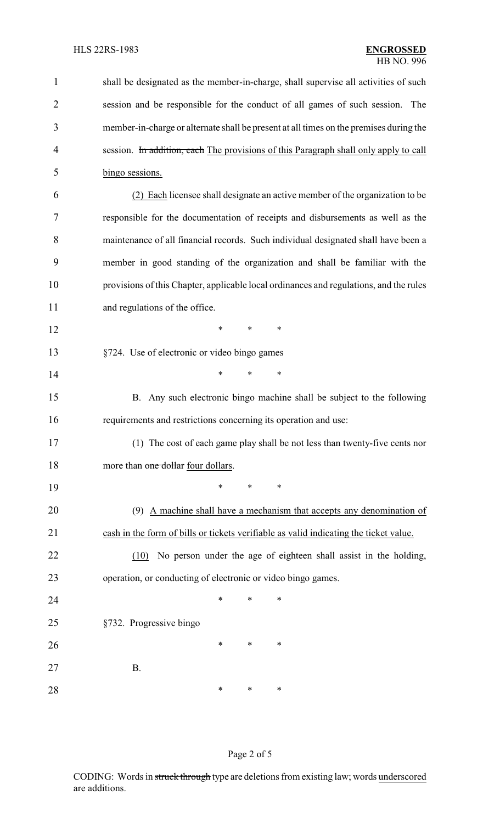| $\mathbf{1}$   | shall be designated as the member-in-charge, shall supervise all activities of such    |
|----------------|----------------------------------------------------------------------------------------|
| $\overline{2}$ | session and be responsible for the conduct of all games of such session. The           |
| 3              | member-in-charge or alternate shall be present at all times on the premises during the |
| 4              | session. In addition, each The provisions of this Paragraph shall only apply to call   |
| 5              | bingo sessions.                                                                        |
| 6              | (2) Each licensee shall designate an active member of the organization to be           |
| 7              | responsible for the documentation of receipts and disbursements as well as the         |
| 8              | maintenance of all financial records. Such individual designated shall have been a     |
| 9              | member in good standing of the organization and shall be familiar with the             |
| 10             | provisions of this Chapter, applicable local ordinances and regulations, and the rules |
| 11             | and regulations of the office.                                                         |
| 12             | *<br>*<br>$\ast$                                                                       |
| 13             | §724. Use of electronic or video bingo games                                           |
| 14             | $\ast$<br>*<br>*                                                                       |
| 15             | B. Any such electronic bingo machine shall be subject to the following                 |
| 16             | requirements and restrictions concerning its operation and use:                        |
| 17             | (1) The cost of each game play shall be not less than twenty-five cents nor            |
| 18             | more than one dollar four dollars.                                                     |
| 19             | *<br>*<br>∗                                                                            |
| 20             | (9) A machine shall have a mechanism that accepts any denomination of                  |
| 21             | cash in the form of bills or tickets verifiable as valid indicating the ticket value.  |
| 22             | No person under the age of eighteen shall assist in the holding,<br>(10)               |
| 23             | operation, or conducting of electronic or video bingo games.                           |
| 24             | ∗<br>∗<br>*                                                                            |
| 25             | §732. Progressive bingo                                                                |
| 26             | ∗<br>∗<br>∗                                                                            |
| 27             | <b>B.</b>                                                                              |
| 28             | ∗<br>$\ast$<br>∗                                                                       |

# Page 2 of 5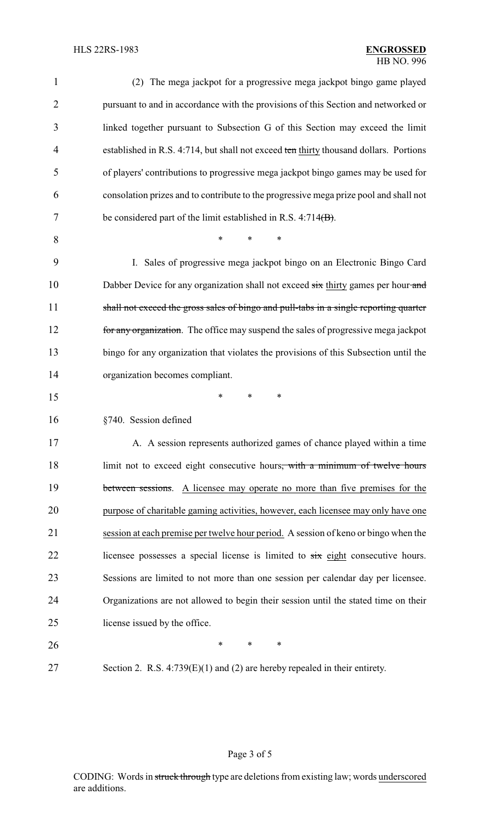| $\mathbf{1}$   | (2) The mega jackpot for a progressive mega jackpot bingo game played                   |
|----------------|-----------------------------------------------------------------------------------------|
| $\overline{2}$ | pursuant to and in accordance with the provisions of this Section and networked or      |
| 3              | linked together pursuant to Subsection G of this Section may exceed the limit           |
| $\overline{4}$ | established in R.S. 4:714, but shall not exceed ten thirty thousand dollars. Portions   |
| 5              | of players' contributions to progressive mega jackpot bingo games may be used for       |
| 6              | consolation prizes and to contribute to the progressive mega prize pool and shall not   |
| 7              | be considered part of the limit established in R.S. $4:714(B)$ .                        |
| 8              | $\ast$<br>*                                                                             |
| 9              | I. Sales of progressive mega jackpot bingo on an Electronic Bingo Card                  |
| 10             | Dabber Device for any organization shall not exceed six thirty games per hour and       |
| 11             | shall not exceed the gross sales of bingo and pull-tabs in a single reporting quarter   |
| 12             | for any organization. The office may suspend the sales of progressive mega jackpot      |
| 13             | bingo for any organization that violates the provisions of this Subsection until the    |
| 14             | organization becomes compliant.                                                         |
| 15             | *<br>*<br>∗                                                                             |
| 16             | §740. Session defined                                                                   |
| 17             | A. A session represents authorized games of chance played within a time                 |
| 18             | limit not to exceed eight consecutive hours, with a minimum of twelve hours             |
| 19             | between sessions. A licensee may operate no more than five premises for the             |
| 20             | purpose of charitable gaming activities, however, each licensee may only have one       |
| 21             | session at each premise per twelve hour period. A session of keno or bingo when the     |
| 22             | licensee possesses a special license is limited to $s\dot{x}x$ eight consecutive hours. |
| 23             | Sessions are limited to not more than one session per calendar day per licensee.        |
| 24             | Organizations are not allowed to begin their session until the stated time on their     |
| 25             | license issued by the office.                                                           |
| 26             | $\ast$<br>∗<br>*                                                                        |
| 27             | Section 2. R.S. $4:739(E)(1)$ and (2) are hereby repealed in their entirety.            |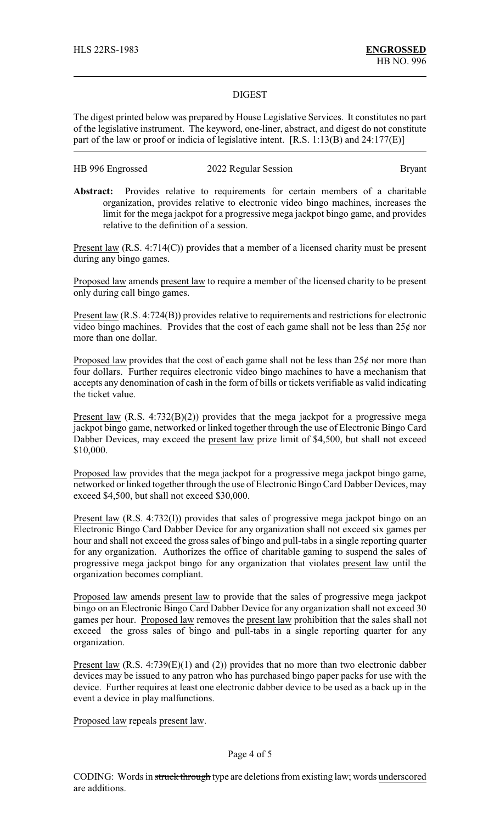#### DIGEST

The digest printed below was prepared by House Legislative Services. It constitutes no part of the legislative instrument. The keyword, one-liner, abstract, and digest do not constitute part of the law or proof or indicia of legislative intent. [R.S. 1:13(B) and 24:177(E)]

| HB 996 Engrossed | 2022 Regular Session | <b>Bryant</b> |
|------------------|----------------------|---------------|
|------------------|----------------------|---------------|

**Abstract:** Provides relative to requirements for certain members of a charitable organization, provides relative to electronic video bingo machines, increases the limit for the mega jackpot for a progressive mega jackpot bingo game, and provides relative to the definition of a session.

Present law  $(R.S. 4:714(C))$  provides that a member of a licensed charity must be present during any bingo games.

Proposed law amends present law to require a member of the licensed charity to be present only during call bingo games.

Present law (R.S. 4:724(B)) provides relative to requirements and restrictions for electronic video bingo machines. Provides that the cost of each game shall not be less than  $25¢$  nor more than one dollar.

Proposed law provides that the cost of each game shall not be less than  $25¢$  nor more than four dollars. Further requires electronic video bingo machines to have a mechanism that accepts any denomination of cash in the form of bills or tickets verifiable as valid indicating the ticket value.

Present law  $(R.S. 4:732(B)(2))$  provides that the mega jackpot for a progressive mega jackpot bingo game, networked or linked together through the use of Electronic Bingo Card Dabber Devices, may exceed the present law prize limit of \$4,500, but shall not exceed \$10,000.

Proposed law provides that the mega jackpot for a progressive mega jackpot bingo game, networked or linked together through the use of Electronic Bingo Card Dabber Devices, may exceed \$4,500, but shall not exceed \$30,000.

Present law (R.S. 4:732(I)) provides that sales of progressive mega jackpot bingo on an Electronic Bingo Card Dabber Device for any organization shall not exceed six games per hour and shall not exceed the gross sales of bingo and pull-tabs in a single reporting quarter for any organization. Authorizes the office of charitable gaming to suspend the sales of progressive mega jackpot bingo for any organization that violates present law until the organization becomes compliant.

Proposed law amends present law to provide that the sales of progressive mega jackpot bingo on an Electronic Bingo Card Dabber Device for any organization shall not exceed 30 games per hour. Proposed law removes the present law prohibition that the sales shall not exceed the gross sales of bingo and pull-tabs in a single reporting quarter for any organization.

Present law  $(R.S. 4:739(E)(1)$  and  $(2)$ ) provides that no more than two electronic dabber devices may be issued to any patron who has purchased bingo paper packs for use with the device. Further requires at least one electronic dabber device to be used as a back up in the event a device in play malfunctions.

Proposed law repeals present law.